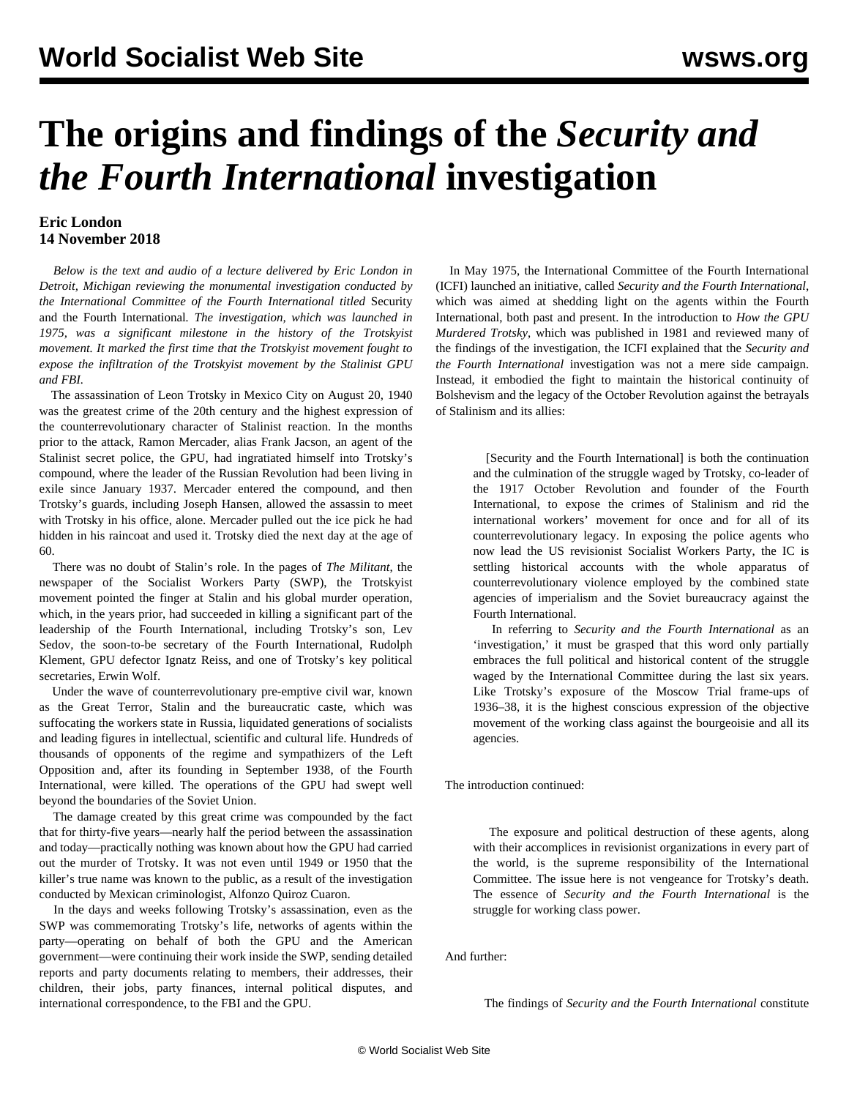## **The origins and findings of the** *Security and the Fourth International* **investigation**

## **Eric London 14 November 2018**

 *Below is the text and audio of a lecture delivered by Eric London in Detroit, Michigan reviewing the monumental investigation conducted by the International Committee of the Fourth International titled* Security and the Fourth International*. The investigation, which was launched in 1975, was a significant milestone in the history of the Trotskyist movement. It marked the first time that the Trotskyist movement fought to expose the infiltration of the Trotskyist movement by the Stalinist GPU and FBI.*

 The assassination of Leon Trotsky in Mexico City on August 20, 1940 was the greatest crime of the 20th century and the highest expression of the counterrevolutionary character of Stalinist reaction. In the months prior to the attack, Ramon Mercader, alias Frank Jacson, an agent of the Stalinist secret police, the GPU, had ingratiated himself into Trotsky's compound, where the leader of the Russian Revolution had been living in exile since January 1937. Mercader entered the compound, and then Trotsky's guards, including Joseph Hansen, allowed the assassin to meet with Trotsky in his office, alone. Mercader pulled out the ice pick he had hidden in his raincoat and used it. Trotsky died the next day at the age of 60.

 There was no doubt of Stalin's role. In the pages of *The Militant*, the newspaper of the Socialist Workers Party (SWP), the Trotskyist movement pointed the finger at Stalin and his global murder operation, which, in the years prior, had succeeded in killing a significant part of the leadership of the Fourth International, including Trotsky's son, Lev Sedov, the soon-to-be secretary of the Fourth International, Rudolph Klement, GPU defector Ignatz Reiss, and one of Trotsky's key political secretaries, Erwin Wolf.

 Under the wave of counterrevolutionary pre-emptive civil war, known as the Great Terror, Stalin and the bureaucratic caste, which was suffocating the workers state in Russia, liquidated generations of socialists and leading figures in intellectual, scientific and cultural life. Hundreds of thousands of opponents of the regime and sympathizers of the Left Opposition and, after its founding in September 1938, of the Fourth International, were killed. The operations of the GPU had swept well beyond the boundaries of the Soviet Union.

 The damage created by this great crime was compounded by the fact that for thirty-five years—nearly half the period between the assassination and today—practically nothing was known about how the GPU had carried out the murder of Trotsky. It was not even until 1949 or 1950 that the killer's true name was known to the public, as a result of the investigation conducted by Mexican criminologist, Alfonzo Quiroz Cuaron.

 In the days and weeks following Trotsky's assassination, even as the SWP was commemorating Trotsky's life, networks of agents within the party—operating on behalf of both the GPU and the American government—were continuing their work inside the SWP, sending detailed reports and party documents relating to members, their addresses, their children, their jobs, party finances, internal political disputes, and international correspondence, to the FBI and the GPU.

 In May 1975, the International Committee of the Fourth International (ICFI) launched an initiative, called *Security and the Fourth International*, which was aimed at shedding light on the agents within the Fourth International, both past and present. In the introduction to *How the GPU Murdered Trotsky*, which was published in 1981 and reviewed many of the findings of the investigation, the ICFI explained that the *Security and the Fourth International* investigation was not a mere side campaign. Instead, it embodied the fight to maintain the historical continuity of Bolshevism and the legacy of the October Revolution against the betrayals of Stalinism and its allies:

 [Security and the Fourth International] is both the continuation and the culmination of the struggle waged by Trotsky, co-leader of the 1917 October Revolution and founder of the Fourth International, to expose the crimes of Stalinism and rid the international workers' movement for once and for all of its counterrevolutionary legacy. In exposing the police agents who now lead the US revisionist Socialist Workers Party, the IC is settling historical accounts with the whole apparatus of counterrevolutionary violence employed by the combined state agencies of imperialism and the Soviet bureaucracy against the Fourth International.

 In referring to *Security and the Fourth International* as an 'investigation,' it must be grasped that this word only partially embraces the full political and historical content of the struggle waged by the International Committee during the last six years. Like Trotsky's exposure of the Moscow Trial frame-ups of 1936–38, it is the highest conscious expression of the objective movement of the working class against the bourgeoisie and all its agencies.

The introduction continued:

 The exposure and political destruction of these agents, along with their accomplices in revisionist organizations in every part of the world, is the supreme responsibility of the International Committee. The issue here is not vengeance for Trotsky's death. The essence of *Security and the Fourth International* is the struggle for working class power.

And further:

The findings of *Security and the Fourth International* constitute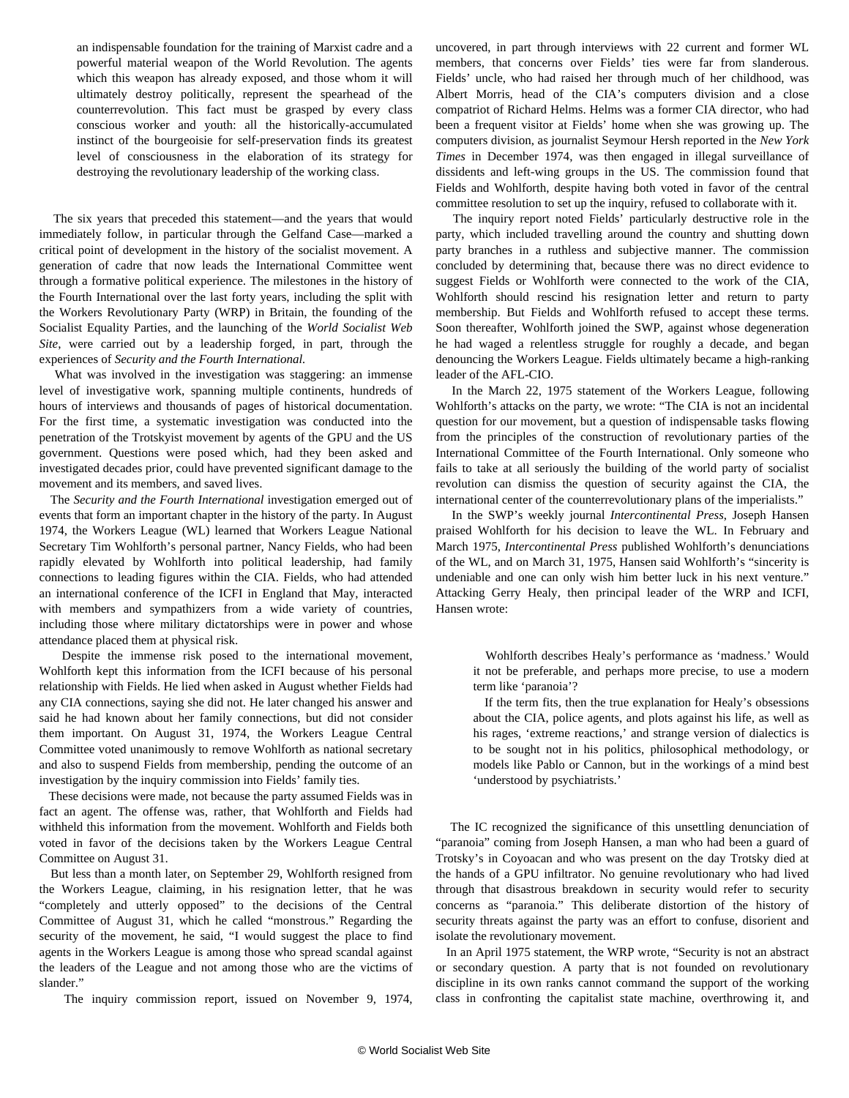an indispensable foundation for the training of Marxist cadre and a powerful material weapon of the World Revolution. The agents which this weapon has already exposed, and those whom it will ultimately destroy politically, represent the spearhead of the counterrevolution. This fact must be grasped by every class conscious worker and youth: all the historically-accumulated instinct of the bourgeoisie for self-preservation finds its greatest level of consciousness in the elaboration of its strategy for destroying the revolutionary leadership of the working class.

 The six years that preceded this statement—and the years that would immediately follow, in particular through the Gelfand Case—marked a critical point of development in the history of the socialist movement. A generation of cadre that now leads the International Committee went through a formative political experience. The milestones in the history of the Fourth International over the last forty years, including the split with the Workers Revolutionary Party (WRP) in Britain, the founding of the Socialist Equality Parties, and the launching of the *World Socialist Web Site*, were carried out by a leadership forged, in part, through the experiences of *Security and the Fourth International.*

 What was involved in the investigation was staggering: an immense level of investigative work, spanning multiple continents, hundreds of hours of interviews and thousands of pages of historical documentation. For the first time, a systematic investigation was conducted into the penetration of the Trotskyist movement by agents of the GPU and the US government. Questions were posed which, had they been asked and investigated decades prior, could have prevented significant damage to the movement and its members, and saved lives.

 The *Security and the Fourth International* investigation emerged out of events that form an important chapter in the history of the party. In August 1974, the Workers League (WL) learned that Workers League National Secretary Tim Wohlforth's personal partner, Nancy Fields, who had been rapidly elevated by Wohlforth into political leadership, had family connections to leading figures within the CIA. Fields, who had attended an international conference of the ICFI in England that May, interacted with members and sympathizers from a wide variety of countries, including those where military dictatorships were in power and whose attendance placed them at physical risk.

 Despite the immense risk posed to the international movement, Wohlforth kept this information from the ICFI because of his personal relationship with Fields. He lied when asked in August whether Fields had any CIA connections, saying she did not. He later changed his answer and said he had known about her family connections, but did not consider them important. On August 31, 1974, the Workers League Central Committee voted unanimously to remove Wohlforth as national secretary and also to suspend Fields from membership, pending the outcome of an investigation by the inquiry commission into Fields' family ties.

 These decisions were made, not because the party assumed Fields was in fact an agent. The offense was, rather, that Wohlforth and Fields had withheld this information from the movement. Wohlforth and Fields both voted in favor of the decisions taken by the Workers League Central Committee on August 31.

 But less than a month later, on September 29, Wohlforth resigned from the Workers League, claiming, in his resignation letter, that he was "completely and utterly opposed" to the decisions of the Central Committee of August 31, which he called "monstrous." Regarding the security of the movement, he said, "I would suggest the place to find agents in the Workers League is among those who spread scandal against the leaders of the League and not among those who are the victims of slander."

The inquiry commission report, issued on November 9, 1974,

uncovered, in part through interviews with 22 current and former WL members, that concerns over Fields' ties were far from slanderous. Fields' uncle, who had raised her through much of her childhood, was Albert Morris, head of the CIA's computers division and a close compatriot of Richard Helms. Helms was a former CIA director, who had been a frequent visitor at Fields' home when she was growing up. The computers division, as journalist Seymour Hersh reported in the *New York Times* in December 1974, was then engaged in illegal surveillance of dissidents and left-wing groups in the US. The commission found that Fields and Wohlforth, despite having both voted in favor of the central committee resolution to set up the inquiry, refused to collaborate with it.

 The inquiry report noted Fields' particularly destructive role in the party, which included travelling around the country and shutting down party branches in a ruthless and subjective manner. The commission concluded by determining that, because there was no direct evidence to suggest Fields or Wohlforth were connected to the work of the CIA, Wohlforth should rescind his resignation letter and return to party membership. But Fields and Wohlforth refused to accept these terms. Soon thereafter, Wohlforth joined the SWP, against whose degeneration he had waged a relentless struggle for roughly a decade, and began denouncing the Workers League. Fields ultimately became a high-ranking leader of the AFL-CIO.

 In the March 22, 1975 statement of the Workers League, following Wohlforth's attacks on the party, we wrote: "The CIA is not an incidental question for our movement, but a question of indispensable tasks flowing from the principles of the construction of revolutionary parties of the International Committee of the Fourth International. Only someone who fails to take at all seriously the building of the world party of socialist revolution can dismiss the question of security against the CIA, the international center of the counterrevolutionary plans of the imperialists."

 In the SWP's weekly journal *Intercontinental Press*, Joseph Hansen praised Wohlforth for his decision to leave the WL. In February and March 1975, *Intercontinental Press* published Wohlforth's denunciations of the WL, and on March 31, 1975, Hansen said Wohlforth's "sincerity is undeniable and one can only wish him better luck in his next venture." Attacking Gerry Healy, then principal leader of the WRP and ICFI, Hansen wrote:

 Wohlforth describes Healy's performance as 'madness.' Would it not be preferable, and perhaps more precise, to use a modern term like 'paranoia'?

 If the term fits, then the true explanation for Healy's obsessions about the CIA, police agents, and plots against his life, as well as his rages, 'extreme reactions,' and strange version of dialectics is to be sought not in his politics, philosophical methodology, or models like Pablo or Cannon, but in the workings of a mind best 'understood by psychiatrists.'

 The IC recognized the significance of this unsettling denunciation of "paranoia" coming from Joseph Hansen, a man who had been a guard of Trotsky's in Coyoacan and who was present on the day Trotsky died at the hands of a GPU infiltrator. No genuine revolutionary who had lived through that disastrous breakdown in security would refer to security concerns as "paranoia." This deliberate distortion of the history of security threats against the party was an effort to confuse, disorient and isolate the revolutionary movement.

 In an April 1975 statement, the WRP wrote, "Security is not an abstract or secondary question. A party that is not founded on revolutionary discipline in its own ranks cannot command the support of the working class in confronting the capitalist state machine, overthrowing it, and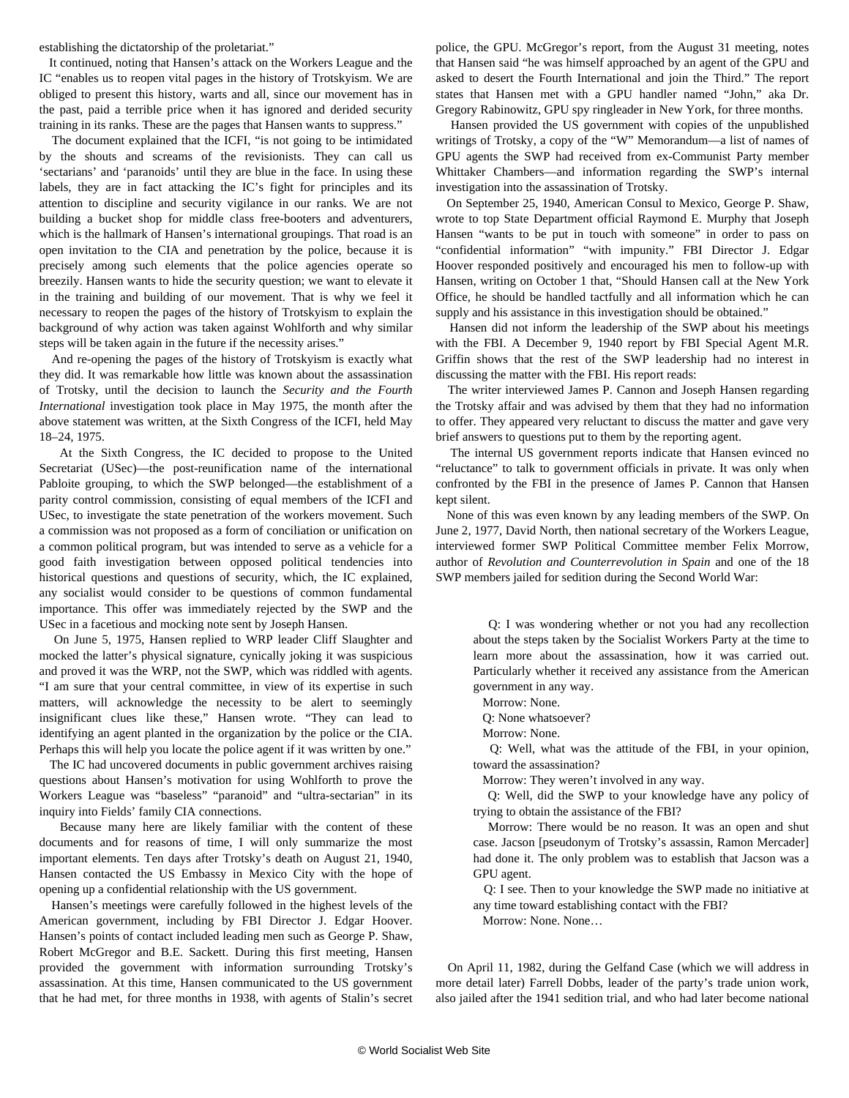establishing the dictatorship of the proletariat."

 It continued, noting that Hansen's attack on the Workers League and the IC "enables us to reopen vital pages in the history of Trotskyism. We are obliged to present this history, warts and all, since our movement has in the past, paid a terrible price when it has ignored and derided security training in its ranks. These are the pages that Hansen wants to suppress."

 The document explained that the ICFI, "is not going to be intimidated by the shouts and screams of the revisionists. They can call us 'sectarians' and 'paranoids' until they are blue in the face. In using these labels, they are in fact attacking the IC's fight for principles and its attention to discipline and security vigilance in our ranks. We are not building a bucket shop for middle class free-booters and adventurers, which is the hallmark of Hansen's international groupings. That road is an open invitation to the CIA and penetration by the police, because it is precisely among such elements that the police agencies operate so breezily. Hansen wants to hide the security question; we want to elevate it in the training and building of our movement. That is why we feel it necessary to reopen the pages of the history of Trotskyism to explain the background of why action was taken against Wohlforth and why similar steps will be taken again in the future if the necessity arises."

 And re-opening the pages of the history of Trotskyism is exactly what they did. It was remarkable how little was known about the assassination of Trotsky, until the decision to launch the *Security and the Fourth International* investigation took place in May 1975, the month after the above statement was written, at the Sixth Congress of the ICFI, held May 18–24, 1975.

 At the Sixth Congress, the IC decided to propose to the United Secretariat (USec)—the post-reunification name of the international Pabloite grouping, to which the SWP belonged—the establishment of a parity control commission, consisting of equal members of the ICFI and USec, to investigate the state penetration of the workers movement. Such a commission was not proposed as a form of conciliation or unification on a common political program, but was intended to serve as a vehicle for a good faith investigation between opposed political tendencies into historical questions and questions of security, which, the IC explained, any socialist would consider to be questions of common fundamental importance. This offer was immediately rejected by the SWP and the USec in a facetious and mocking note sent by Joseph Hansen.

 On June 5, 1975, Hansen replied to WRP leader Cliff Slaughter and mocked the latter's physical signature, cynically joking it was suspicious and proved it was the WRP, not the SWP, which was riddled with agents. "I am sure that your central committee, in view of its expertise in such matters, will acknowledge the necessity to be alert to seemingly insignificant clues like these," Hansen wrote. "They can lead to identifying an agent planted in the organization by the police or the CIA. Perhaps this will help you locate the police agent if it was written by one."

 The IC had uncovered documents in public government archives raising questions about Hansen's motivation for using Wohlforth to prove the Workers League was "baseless" "paranoid" and "ultra-sectarian" in its inquiry into Fields' family CIA connections.

 Because many here are likely familiar with the content of these documents and for reasons of time, I will only summarize the most important elements. Ten days after Trotsky's death on August 21, 1940, Hansen contacted the US Embassy in Mexico City with the hope of opening up a confidential relationship with the US government.

 Hansen's meetings were carefully followed in the highest levels of the American government, including by FBI Director J. Edgar Hoover. Hansen's points of contact included leading men such as George P. Shaw, Robert McGregor and B.E. Sackett. During this first meeting, Hansen provided the government with information surrounding Trotsky's assassination. At this time, Hansen communicated to the US government that he had met, for three months in 1938, with agents of Stalin's secret police, the GPU. McGregor's report, from the August 31 meeting, notes that Hansen said "he was himself approached by an agent of the GPU and asked to desert the Fourth International and join the Third." The report states that Hansen met with a GPU handler named "John," aka Dr. Gregory Rabinowitz, GPU spy ringleader in New York, for three months.

 Hansen provided the US government with copies of the unpublished writings of Trotsky, a copy of the "W" Memorandum—a list of names of GPU agents the SWP had received from ex-Communist Party member Whittaker Chambers—and information regarding the SWP's internal investigation into the assassination of Trotsky.

 On September 25, 1940, American Consul to Mexico, George P. Shaw, wrote to top State Department official Raymond E. Murphy that Joseph Hansen "wants to be put in touch with someone" in order to pass on "confidential information" "with impunity." FBI Director J. Edgar Hoover responded positively and encouraged his men to follow-up with Hansen, writing on October 1 that, "Should Hansen call at the New York Office, he should be handled tactfully and all information which he can supply and his assistance in this investigation should be obtained."

 Hansen did not inform the leadership of the SWP about his meetings with the FBI. A December 9, 1940 report by FBI Special Agent M.R. Griffin shows that the rest of the SWP leadership had no interest in discussing the matter with the FBI. His report reads:

 The writer interviewed James P. Cannon and Joseph Hansen regarding the Trotsky affair and was advised by them that they had no information to offer. They appeared very reluctant to discuss the matter and gave very brief answers to questions put to them by the reporting agent.

 The internal US government reports indicate that Hansen evinced no "reluctance" to talk to government officials in private. It was only when confronted by the FBI in the presence of James P. Cannon that Hansen kept silent.

 None of this was even known by any leading members of the SWP. On June 2, 1977, David North, then national secretary of the Workers League, interviewed former SWP Political Committee member Felix Morrow, author of *Revolution and Counterrevolution in Spain* and one of the 18 SWP members jailed for sedition during the Second World War:

 Q: I was wondering whether or not you had any recollection about the steps taken by the Socialist Workers Party at the time to learn more about the assassination, how it was carried out. Particularly whether it received any assistance from the American government in any way.

Morrow: None.

Q: None whatsoever?

Morrow: None.

 Q: Well, what was the attitude of the FBI, in your opinion, toward the assassination?

Morrow: They weren't involved in any way.

 Q: Well, did the SWP to your knowledge have any policy of trying to obtain the assistance of the FBI?

 Morrow: There would be no reason. It was an open and shut case. Jacson [pseudonym of Trotsky's assassin, Ramon Mercader] had done it. The only problem was to establish that Jacson was a GPU agent.

 Q: I see. Then to your knowledge the SWP made no initiative at any time toward establishing contact with the FBI?

Morrow: None. None…

 On April 11, 1982, during the Gelfand Case (which we will address in more detail later) Farrell Dobbs, leader of the party's trade union work, also jailed after the 1941 sedition trial, and who had later become national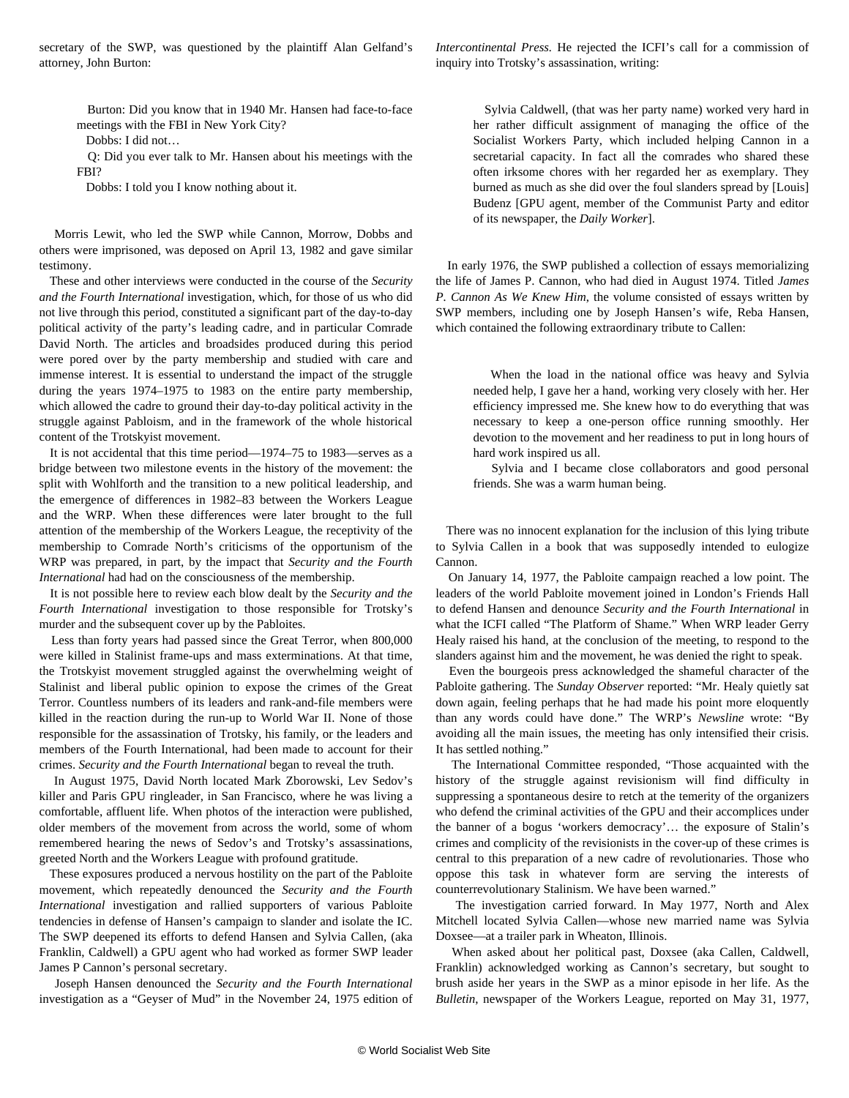secretary of the SWP, was questioned by the plaintiff Alan Gelfand's attorney, John Burton:

 Burton: Did you know that in 1940 Mr. Hansen had face-to-face meetings with the FBI in New York City?

Dobbs: I did not…

 Q: Did you ever talk to Mr. Hansen about his meetings with the FBI?

Dobbs: I told you I know nothing about it.

 Morris Lewit, who led the SWP while Cannon, Morrow, Dobbs and others were imprisoned, was deposed on April 13, 1982 and gave similar testimony.

 These and other interviews were conducted in the course of the *Security and the Fourth International* investigation, which, for those of us who did not live through this period, constituted a significant part of the day-to-day political activity of the party's leading cadre, and in particular Comrade David North. The articles and broadsides produced during this period were pored over by the party membership and studied with care and immense interest. It is essential to understand the impact of the struggle during the years 1974–1975 to 1983 on the entire party membership, which allowed the cadre to ground their day-to-day political activity in the struggle against Pabloism, and in the framework of the whole historical content of the Trotskyist movement.

 It is not accidental that this time period—1974–75 to 1983—serves as a bridge between two milestone events in the history of the movement: the split with Wohlforth and the transition to a new political leadership, and the emergence of differences in 1982–83 between the Workers League and the WRP. When these differences were later brought to the full attention of the membership of the Workers League, the receptivity of the membership to Comrade North's criticisms of the opportunism of the WRP was prepared, in part, by the impact that *Security and the Fourth International* had had on the consciousness of the membership.

 It is not possible here to review each blow dealt by the *Security and the Fourth International* investigation to those responsible for Trotsky's murder and the subsequent cover up by the Pabloites.

 Less than forty years had passed since the Great Terror, when 800,000 were killed in Stalinist frame-ups and mass exterminations. At that time, the Trotskyist movement struggled against the overwhelming weight of Stalinist and liberal public opinion to expose the crimes of the Great Terror. Countless numbers of its leaders and rank-and-file members were killed in the reaction during the run-up to World War II. None of those responsible for the assassination of Trotsky, his family, or the leaders and members of the Fourth International, had been made to account for their crimes. *Security and the Fourth International* began to reveal the truth.

 In August 1975, David North located Mark Zborowski, Lev Sedov's killer and Paris GPU ringleader, in San Francisco, where he was living a comfortable, affluent life. When photos of the interaction were published, older members of the movement from across the world, some of whom remembered hearing the news of Sedov's and Trotsky's assassinations, greeted North and the Workers League with profound gratitude.

 These exposures produced a nervous hostility on the part of the Pabloite movement, which repeatedly denounced the *Security and the Fourth International* investigation and rallied supporters of various Pabloite tendencies in defense of Hansen's campaign to slander and isolate the IC. The SWP deepened its efforts to defend Hansen and Sylvia Callen, (aka Franklin, Caldwell) a GPU agent who had worked as former SWP leader James P Cannon's personal secretary.

 Joseph Hansen denounced the *Security and the Fourth International* investigation as a "Geyser of Mud" in the November 24, 1975 edition of *Intercontinental Press.* He rejected the ICFI's call for a commission of inquiry into Trotsky's assassination, writing:

 Sylvia Caldwell, (that was her party name) worked very hard in her rather difficult assignment of managing the office of the Socialist Workers Party, which included helping Cannon in a secretarial capacity. In fact all the comrades who shared these often irksome chores with her regarded her as exemplary. They burned as much as she did over the foul slanders spread by [Louis] Budenz [GPU agent, member of the Communist Party and editor of its newspaper, the *Daily Worker*].

 In early 1976, the SWP published a collection of essays memorializing the life of James P. Cannon, who had died in August 1974. Titled *James P. Cannon As We Knew Him*, the volume consisted of essays written by SWP members, including one by Joseph Hansen's wife, Reba Hansen, which contained the following extraordinary tribute to Callen:

 When the load in the national office was heavy and Sylvia needed help, I gave her a hand, working very closely with her. Her efficiency impressed me. She knew how to do everything that was necessary to keep a one-person office running smoothly. Her devotion to the movement and her readiness to put in long hours of hard work inspired us all.

 Sylvia and I became close collaborators and good personal friends. She was a warm human being.

 There was no innocent explanation for the inclusion of this lying tribute to Sylvia Callen in a book that was supposedly intended to eulogize Cannon.

 On January 14, 1977, the Pabloite campaign reached a low point. The leaders of the world Pabloite movement joined in London's Friends Hall to defend Hansen and denounce *Security and the Fourth International* in what the ICFI called "The Platform of Shame." When WRP leader Gerry Healy raised his hand, at the conclusion of the meeting, to respond to the slanders against him and the movement, he was denied the right to speak.

 Even the bourgeois press acknowledged the shameful character of the Pabloite gathering. The *Sunday Observer* reported: "Mr. Healy quietly sat down again, feeling perhaps that he had made his point more eloquently than any words could have done." The WRP's *Newsline* wrote: "By avoiding all the main issues, the meeting has only intensified their crisis. It has settled nothing."

 The International Committee responded, "Those acquainted with the history of the struggle against revisionism will find difficulty in suppressing a spontaneous desire to retch at the temerity of the organizers who defend the criminal activities of the GPU and their accomplices under the banner of a bogus 'workers democracy'… the exposure of Stalin's crimes and complicity of the revisionists in the cover-up of these crimes is central to this preparation of a new cadre of revolutionaries. Those who oppose this task in whatever form are serving the interests of counterrevolutionary Stalinism. We have been warned."

 The investigation carried forward. In May 1977, North and Alex Mitchell located Sylvia Callen—whose new married name was Sylvia Doxsee—at a trailer park in Wheaton, Illinois.

 When asked about her political past, Doxsee (aka Callen, Caldwell, Franklin) acknowledged working as Cannon's secretary, but sought to brush aside her years in the SWP as a minor episode in her life. As the *Bulletin*, newspaper of the Workers League, reported on May 31, 1977,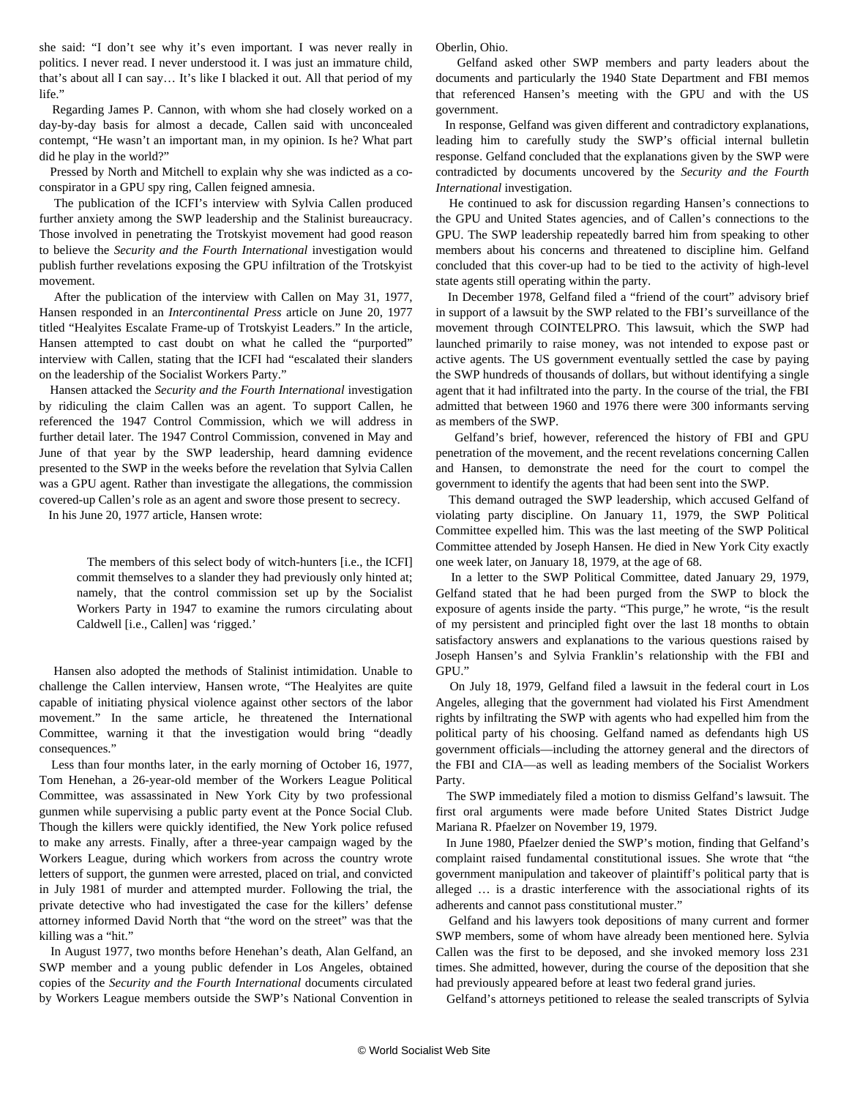she said: "I don't see why it's even important. I was never really in politics. I never read. I never understood it. I was just an immature child, that's about all I can say… It's like I blacked it out. All that period of my life."

 Regarding James P. Cannon, with whom she had closely worked on a day-by-day basis for almost a decade, Callen said with unconcealed contempt, "He wasn't an important man, in my opinion. Is he? What part did he play in the world?"

 Pressed by North and Mitchell to explain why she was indicted as a coconspirator in a GPU spy ring, Callen feigned amnesia.

 The publication of the ICFI's interview with Sylvia Callen produced further anxiety among the SWP leadership and the Stalinist bureaucracy. Those involved in penetrating the Trotskyist movement had good reason to believe the *Security and the Fourth International* investigation would publish further revelations exposing the GPU infiltration of the Trotskyist movement.

 After the publication of the interview with Callen on May 31, 1977, Hansen responded in an *Intercontinental Press* article on June 20, 1977 titled "Healyites Escalate Frame-up of Trotskyist Leaders." In the article, Hansen attempted to cast doubt on what he called the "purported" interview with Callen, stating that the ICFI had "escalated their slanders on the leadership of the Socialist Workers Party."

 Hansen attacked the *Security and the Fourth International* investigation by ridiculing the claim Callen was an agent. To support Callen, he referenced the 1947 Control Commission, which we will address in further detail later. The 1947 Control Commission, convened in May and June of that year by the SWP leadership, heard damning evidence presented to the SWP in the weeks before the revelation that Sylvia Callen was a GPU agent. Rather than investigate the allegations, the commission covered-up Callen's role as an agent and swore those present to secrecy.

In his June 20, 1977 article, Hansen wrote:

 The members of this select body of witch-hunters [i.e., the ICFI] commit themselves to a slander they had previously only hinted at; namely, that the control commission set up by the Socialist Workers Party in 1947 to examine the rumors circulating about Caldwell [i.e., Callen] was 'rigged.'

 Hansen also adopted the methods of Stalinist intimidation. Unable to challenge the Callen interview, Hansen wrote, "The Healyites are quite capable of initiating physical violence against other sectors of the labor movement." In the same article, he threatened the International Committee, warning it that the investigation would bring "deadly consequences."

 Less than four months later, in the early morning of October 16, 1977, Tom Henehan, a 26-year-old member of the Workers League Political Committee, was assassinated in New York City by two professional gunmen while supervising a public party event at the Ponce Social Club. Though the killers were quickly identified, the New York police refused to make any arrests. Finally, after a three-year campaign waged by the Workers League, during which workers from across the country wrote letters of support, the gunmen were arrested, placed on trial, and convicted in July 1981 of murder and attempted murder. Following the trial, the private detective who had investigated the case for the killers' defense attorney informed David North that "the word on the street" was that the killing was a "hit."

 In August 1977, two months before Henehan's death, Alan Gelfand, an SWP member and a young public defender in Los Angeles, obtained copies of the *Security and the Fourth International* documents circulated by Workers League members outside the SWP's National Convention in Oberlin, Ohio.

 Gelfand asked other SWP members and party leaders about the documents and particularly the 1940 State Department and FBI memos that referenced Hansen's meeting with the GPU and with the US government.

 In response, Gelfand was given different and contradictory explanations, leading him to carefully study the SWP's official internal bulletin response. Gelfand concluded that the explanations given by the SWP were contradicted by documents uncovered by the *Security and the Fourth International* investigation.

 He continued to ask for discussion regarding Hansen's connections to the GPU and United States agencies, and of Callen's connections to the GPU. The SWP leadership repeatedly barred him from speaking to other members about his concerns and threatened to discipline him. Gelfand concluded that this cover-up had to be tied to the activity of high-level state agents still operating within the party.

 In December 1978, Gelfand filed a "friend of the court" advisory brief in support of a lawsuit by the SWP related to the FBI's surveillance of the movement through COINTELPRO. This lawsuit, which the SWP had launched primarily to raise money, was not intended to expose past or active agents. The US government eventually settled the case by paying the SWP hundreds of thousands of dollars, but without identifying a single agent that it had infiltrated into the party. In the course of the trial, the FBI admitted that between 1960 and 1976 there were 300 informants serving as members of the SWP.

 Gelfand's brief, however, referenced the history of FBI and GPU penetration of the movement, and the recent revelations concerning Callen and Hansen, to demonstrate the need for the court to compel the government to identify the agents that had been sent into the SWP.

 This demand outraged the SWP leadership, which accused Gelfand of violating party discipline. On January 11, 1979, the SWP Political Committee expelled him. This was the last meeting of the SWP Political Committee attended by Joseph Hansen. He died in New York City exactly one week later, on January 18, 1979, at the age of 68.

 In a letter to the SWP Political Committee, dated January 29, 1979, Gelfand stated that he had been purged from the SWP to block the exposure of agents inside the party. "This purge," he wrote, "is the result of my persistent and principled fight over the last 18 months to obtain satisfactory answers and explanations to the various questions raised by Joseph Hansen's and Sylvia Franklin's relationship with the FBI and GPU."

 On July 18, 1979, Gelfand filed a lawsuit in the federal court in Los Angeles, alleging that the government had violated his First Amendment rights by infiltrating the SWP with agents who had expelled him from the political party of his choosing. Gelfand named as defendants high US government officials—including the attorney general and the directors of the FBI and CIA—as well as leading members of the Socialist Workers Party.

 The SWP immediately filed a motion to dismiss Gelfand's lawsuit. The first oral arguments were made before United States District Judge Mariana R. Pfaelzer on November 19, 1979.

 In June 1980, Pfaelzer denied the SWP's motion, finding that Gelfand's complaint raised fundamental constitutional issues. She wrote that "the government manipulation and takeover of plaintiff's political party that is alleged … is a drastic interference with the associational rights of its adherents and cannot pass constitutional muster."

 Gelfand and his lawyers took depositions of many current and former SWP members, some of whom have already been mentioned here. Sylvia Callen was the first to be deposed, and she invoked memory loss 231 times. She admitted, however, during the course of the deposition that she had previously appeared before at least two federal grand juries.

Gelfand's attorneys petitioned to release the sealed transcripts of Sylvia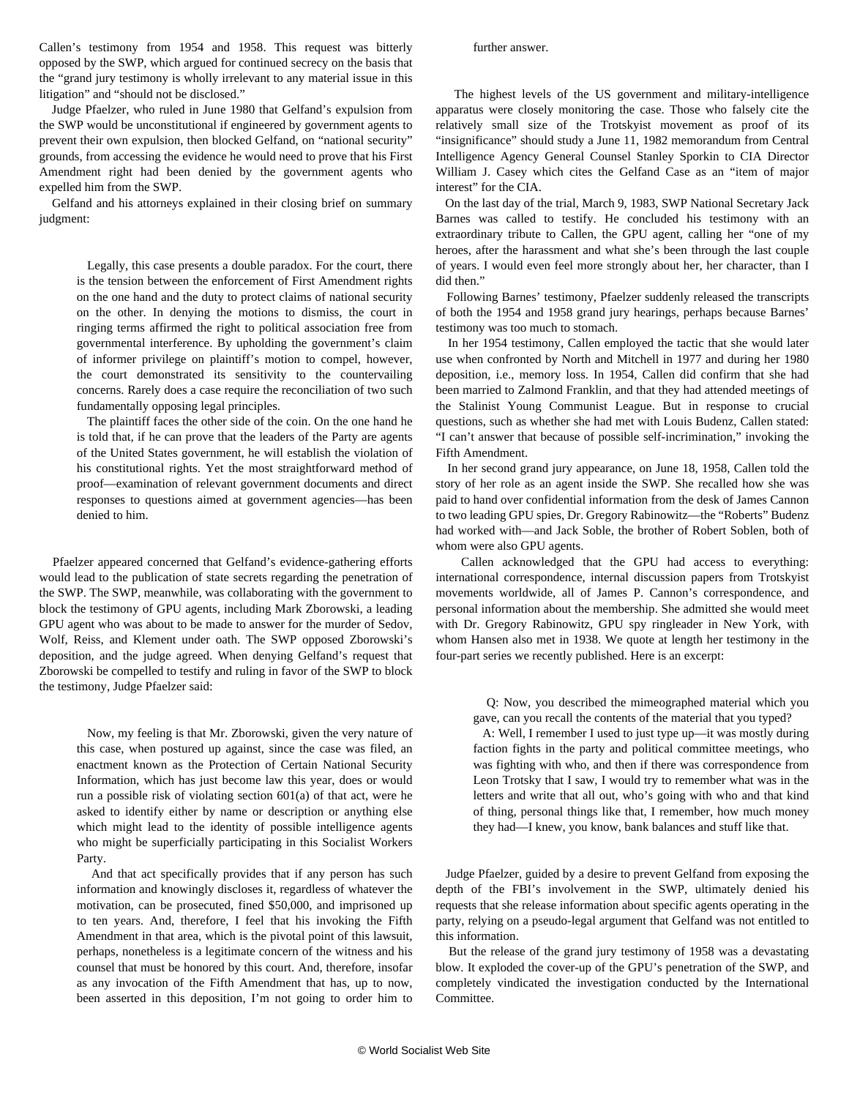Callen's testimony from 1954 and 1958. This request was bitterly opposed by the SWP, which argued for continued secrecy on the basis that the "grand jury testimony is wholly irrelevant to any material issue in this litigation" and "should not be disclosed."

 Judge Pfaelzer, who ruled in June 1980 that Gelfand's expulsion from the SWP would be unconstitutional if engineered by government agents to prevent their own expulsion, then blocked Gelfand, on "national security" grounds, from accessing the evidence he would need to prove that his First Amendment right had been denied by the government agents who expelled him from the SWP.

 Gelfand and his attorneys explained in their closing brief on summary judgment:

> Legally, this case presents a double paradox. For the court, there is the tension between the enforcement of First Amendment rights on the one hand and the duty to protect claims of national security on the other. In denying the motions to dismiss, the court in ringing terms affirmed the right to political association free from governmental interference. By upholding the government's claim of informer privilege on plaintiff's motion to compel, however, the court demonstrated its sensitivity to the countervailing concerns. Rarely does a case require the reconciliation of two such fundamentally opposing legal principles.

> The plaintiff faces the other side of the coin. On the one hand he is told that, if he can prove that the leaders of the Party are agents of the United States government, he will establish the violation of his constitutional rights. Yet the most straightforward method of proof—examination of relevant government documents and direct responses to questions aimed at government agencies—has been denied to him.

 Pfaelzer appeared concerned that Gelfand's evidence-gathering efforts would lead to the publication of state secrets regarding the penetration of the SWP. The SWP, meanwhile, was collaborating with the government to block the testimony of GPU agents, including Mark Zborowski, a leading GPU agent who was about to be made to answer for the murder of Sedov, Wolf, Reiss, and Klement under oath. The SWP opposed Zborowski's deposition, and the judge agreed. When denying Gelfand's request that Zborowski be compelled to testify and ruling in favor of the SWP to block the testimony, Judge Pfaelzer said:

 Now, my feeling is that Mr. Zborowski, given the very nature of this case, when postured up against, since the case was filed, an enactment known as the Protection of Certain National Security Information, which has just become law this year, does or would run a possible risk of violating section 601(a) of that act, were he asked to identify either by name or description or anything else which might lead to the identity of possible intelligence agents who might be superficially participating in this Socialist Workers Party.

 And that act specifically provides that if any person has such information and knowingly discloses it, regardless of whatever the motivation, can be prosecuted, fined \$50,000, and imprisoned up to ten years. And, therefore, I feel that his invoking the Fifth Amendment in that area, which is the pivotal point of this lawsuit, perhaps, nonetheless is a legitimate concern of the witness and his counsel that must be honored by this court. And, therefore, insofar as any invocation of the Fifth Amendment that has, up to now, been asserted in this deposition, I'm not going to order him to

## further answer.

 The highest levels of the US government and military-intelligence apparatus were closely monitoring the case. Those who falsely cite the relatively small size of the Trotskyist movement as proof of its "insignificance" should study a June 11, 1982 memorandum from Central Intelligence Agency General Counsel Stanley Sporkin to CIA Director William J. Casey which cites the Gelfand Case as an "item of major interest" for the CIA.

 On the last day of the trial, March 9, 1983, SWP National Secretary Jack Barnes was called to testify. He concluded his testimony with an extraordinary tribute to Callen, the GPU agent, calling her "one of my heroes, after the harassment and what she's been through the last couple of years. I would even feel more strongly about her, her character, than I did then."

 Following Barnes' testimony, Pfaelzer suddenly released the transcripts of both the 1954 and 1958 grand jury hearings, perhaps because Barnes' testimony was too much to stomach.

 In her 1954 testimony, Callen employed the tactic that she would later use when confronted by North and Mitchell in 1977 and during her 1980 deposition, i.e., memory loss. In 1954, Callen did confirm that she had been married to Zalmond Franklin, and that they had attended meetings of the Stalinist Young Communist League. But in response to crucial questions, such as whether she had met with Louis Budenz, Callen stated: "I can't answer that because of possible self-incrimination," invoking the Fifth Amendment.

 In her second grand jury appearance, on June 18, 1958, Callen told the story of her role as an agent inside the SWP. She recalled how she was paid to hand over confidential information from the desk of James Cannon to two leading GPU spies, Dr. Gregory Rabinowitz—the "Roberts" Budenz had worked with—and Jack Soble, the brother of Robert Soblen, both of whom were also GPU agents.

 Callen acknowledged that the GPU had access to everything: international correspondence, internal discussion papers from Trotskyist movements worldwide, all of James P. Cannon's correspondence, and personal information about the membership. She admitted she would meet with Dr. Gregory Rabinowitz, GPU spy ringleader in New York, with whom Hansen also met in 1938. We quote at length her testimony in the [four-part series](/en/articles/2018/08/14/sec1-a14.html) we recently published. Here is an excerpt:

 Q: Now, you described the mimeographed material which you gave, can you recall the contents of the material that you typed?

 A: Well, I remember I used to just type up—it was mostly during faction fights in the party and political committee meetings, who was fighting with who, and then if there was correspondence from Leon Trotsky that I saw, I would try to remember what was in the letters and write that all out, who's going with who and that kind of thing, personal things like that, I remember, how much money they had—I knew, you know, bank balances and stuff like that.

 Judge Pfaelzer, guided by a desire to prevent Gelfand from exposing the depth of the FBI's involvement in the SWP, ultimately denied his requests that she release information about specific agents operating in the party, relying on a pseudo-legal argument that Gelfand was not entitled to this information.

 But the release of the grand jury testimony of 1958 was a devastating blow. It exploded the cover-up of the GPU's penetration of the SWP, and completely vindicated the investigation conducted by the International Committee.